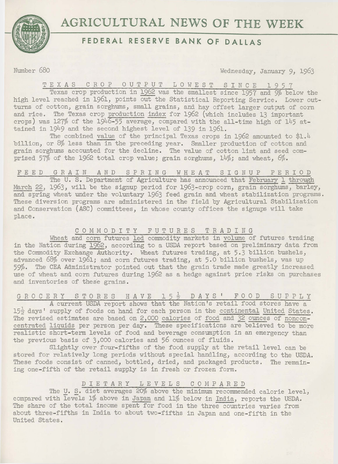# **AGRICULTURAL NEWS OF THE WEEK**



# **FEDERAL RESERVE BANK OF DALLAS**

Number 680 Wednesday, January 9, 1963

TEXAS CROP OUTPUT LOWEST SINCE 1957

Texas crop production in 1962 was the smallest since 1957 and 9% below the high level reached in 1961, points out the Statistical Reporting Service. Lower outturns of cotton, grain sorghums, small grains, and hay offset larger output of corn and rice. The Texas crop production index for 1962 (which includes 13 important crops) was 127% of the 1946-55 average, compared with the all-time high of 145 attained in 1949 and the second highest level of 139 in 1961.

The combined value of the principal Texas crops in 1962 amounted to \$1.4 billion, or  $8\%$  less than in the preceding year. Smaller production of cotton and grain sorghums accounted for the decline. The value of cotton lint and seed comprised 57% of the 1962 total crop value; grain sorghums,  $14\%$ ; and wheat,  $6\%$ .

## FEED GRAIN AND SPRING WHEAT SIGNUP PERIOD

The U. S. Department of Agriculture has announced that February 1 through March 22, 1963, will be the signup period for 1963-crop corn, grain sorghums, barley, and spring wheat under the voluntary 1963 feed grain and wheat stabilization programs. These diversion programs are administered in the field by Agricultural Stabilization and Conservation (ASC) committees, in whose county offices the signups will take place.

### C 0 M M 0 D I T Y FUTURES TRADING

Wheat and corn futures led commodity markets in volume of futures trading in the Nation during 1962, according to a USDA report based on preliminary data from the Commodity Exchange Authority. Wheat futures trading, at 5.3 billion bushels, advanced 68% over 1961; and corn futures trading, at 5.0 billion bushels, was up 59%. The CEA Administrator pointed out that the grain trade made greatly increased use of wheat and corn futures during 1962 as a hedge against price risks on purchases and inventories of these grains.

# G R O C E R Y S T O R E S H A V E 1 5  $\frac{1}{2}$  D A Y S ' F O O D S U P P L Y

<sup>A</sup>current USDA report shows that the Nation's retail food stores have a  $15\frac{1}{2}$  days' supply of foods on hand for each person in the continental United States. The revised estimates are based on 2,000 calories of food and 32 ounces of nonconcentrated liquids per person per day. These specifications are believed to be more realistic short-term levels of food and beverage consumption in an emergency than the previous basis of 3,000 calories and 56 ounces of fluids.

Slightly over four-fifths of the food supply at the retail level can be stored for relatively long periods without special handling, according to the USDA. These foods consist of canned, bottled, dried, and packaged products. The remaining one-fifth of the retail supply is in fresh or frozen form.

## DIETARY LEVELS COMPARED

The U. S. diet averages 20% above the minimum recommended calorie level, compared with levels 1% above in Japan and 11% below in India, reports the USDA. The share of the total income spent for food in the three countries varies from about three-fifths in India to about two-fifths in Japan and one-fifth in the United States.